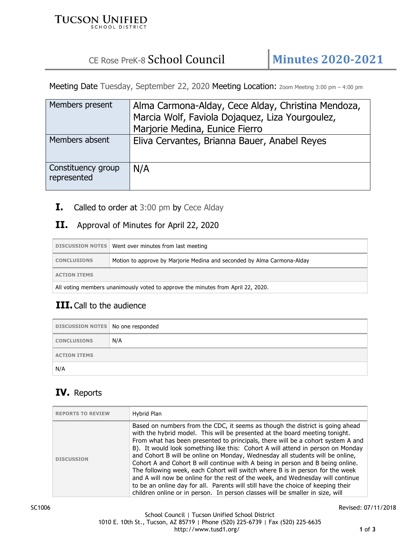#### **TUCSON UNIFIED SCHOOL DISTRICT**

# CE Rose PreK-8 School Council **Minutes 2020-2021**

Meeting Date Tuesday, September 22, 2020 Meeting Location: Zoom Meeting 3:00 pm - 4:00 pm

| Members present                   | Alma Carmona-Alday, Cece Alday, Christina Mendoza, |
|-----------------------------------|----------------------------------------------------|
|                                   | Marcia Wolf, Faviola Dojaguez, Liza Yourgoulez,    |
|                                   | Marjorie Medina, Eunice Fierro                     |
| Members absent                    | Eliva Cervantes, Brianna Bauer, Anabel Reyes       |
| Constituency group<br>represented | N/A                                                |

**I.** Called to order at 3:00 pm by Cece Alday

#### **II.** Approval of Minutes for April 22, 2020

|                                                                                  | DISCUSSION NOTES   Went over minutes from last meeting                  |
|----------------------------------------------------------------------------------|-------------------------------------------------------------------------|
| <b>CONCLUSIONS</b>                                                               | Motion to approve by Marjorie Medina and seconded by Alma Carmona-Alday |
| <b>ACTION ITEMS</b>                                                              |                                                                         |
| All voting members unanimously voted to approve the minutes from April 22, 2020. |                                                                         |

## **III.** Call to the audience

| DISCUSSION NOTES No one responded |     |
|-----------------------------------|-----|
| <b>CONCLUSIONS</b>                | N/A |
| <b>ACTION ITEMS</b>               |     |
| N/A                               |     |

## **IV.** Reports

| <b>REPORTS TO REVIEW</b> | Hybrid Plan                                                                                                                                                                                                                                                                                                                                                                                                                                                                                                                                                                                                                                                                                                                                                                                                                                   |
|--------------------------|-----------------------------------------------------------------------------------------------------------------------------------------------------------------------------------------------------------------------------------------------------------------------------------------------------------------------------------------------------------------------------------------------------------------------------------------------------------------------------------------------------------------------------------------------------------------------------------------------------------------------------------------------------------------------------------------------------------------------------------------------------------------------------------------------------------------------------------------------|
| <b>DISCUSSION</b>        | Based on numbers from the CDC, it seems as though the district is going ahead<br>with the hybrid model. This will be presented at the board meeting tonight.<br>From what has been presented to principals, there will be a cohort system A and<br>B). It would look something like this: Cohort A will attend in person on Monday<br>and Cohort B will be online on Monday, Wednesday all students will be online,<br>Cohort A and Cohort B will continue with A being in person and B being online.<br>The following week, each Cohort will switch where B is in person for the week<br>and A will now be online for the rest of the week, and Wednesday will continue<br>to be an online day for all. Parents will still have the choice of keeping their<br>children online or in person. In person classes will be smaller in size, will |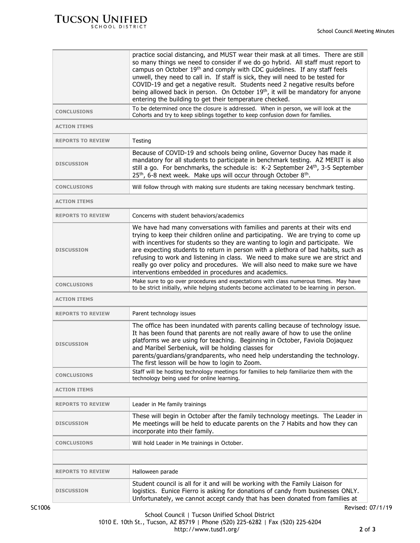|                          | practice social distancing, and MUST wear their mask at all times. There are still<br>so many things we need to consider if we do go hybrid. All staff must report to<br>campus on October 19 <sup>th</sup> and comply with CDC quidelines. If any staff feels<br>unwell, they need to call in. If staff is sick, they will need to be tested for<br>COVID-19 and get a negative result. Students need 2 negative results before<br>being allowed back in person. On October 19 <sup>th</sup> , it will be mandatory for anyone                                |
|--------------------------|----------------------------------------------------------------------------------------------------------------------------------------------------------------------------------------------------------------------------------------------------------------------------------------------------------------------------------------------------------------------------------------------------------------------------------------------------------------------------------------------------------------------------------------------------------------|
|                          | entering the building to get their temperature checked.<br>To be determined once the closure is addressed. When in person, we will look at the                                                                                                                                                                                                                                                                                                                                                                                                                 |
| <b>CONCLUSIONS</b>       | Cohorts and try to keep siblings together to keep confusion down for families.                                                                                                                                                                                                                                                                                                                                                                                                                                                                                 |
| <b>ACTION ITEMS</b>      |                                                                                                                                                                                                                                                                                                                                                                                                                                                                                                                                                                |
| <b>REPORTS TO REVIEW</b> | Testing                                                                                                                                                                                                                                                                                                                                                                                                                                                                                                                                                        |
| <b>DISCUSSION</b>        | Because of COVID-19 and schools being online, Governor Ducey has made it<br>mandatory for all students to participate in benchmark testing. AZ MERIT is also<br>still a go. For benchmarks, the schedule is: K-2 September 24th, 3-5 September<br>25 <sup>th</sup> , 6-8 next week. Make ups will occur through October 8 <sup>th</sup> .                                                                                                                                                                                                                      |
| <b>CONCLUSIONS</b>       | Will follow through with making sure students are taking necessary benchmark testing.                                                                                                                                                                                                                                                                                                                                                                                                                                                                          |
| <b>ACTION ITEMS</b>      |                                                                                                                                                                                                                                                                                                                                                                                                                                                                                                                                                                |
| <b>REPORTS TO REVIEW</b> | Concerns with student behaviors/academics                                                                                                                                                                                                                                                                                                                                                                                                                                                                                                                      |
| <b>DISCUSSION</b>        | We have had many conversations with families and parents at their wits end<br>trying to keep their children online and participating. We are trying to come up<br>with incentives for students so they are wanting to login and participate. We<br>are expecting students to return in person with a plethora of bad habits, such as<br>refusing to work and listening in class. We need to make sure we are strict and<br>really go over policy and procedures. We will also need to make sure we have<br>interventions embedded in procedures and academics. |
| <b>CONCLUSIONS</b>       | Make sure to go over procedures and expectations with class numerous times. May have<br>to be strict initially, while helping students become acclimated to be learning in person.                                                                                                                                                                                                                                                                                                                                                                             |
| <b>ACTION ITEMS</b>      |                                                                                                                                                                                                                                                                                                                                                                                                                                                                                                                                                                |
| <b>REPORTS TO REVIEW</b> | Parent technology issues                                                                                                                                                                                                                                                                                                                                                                                                                                                                                                                                       |
| <b>DISCUSSION</b>        | The office has been inundated with parents calling because of technology issue.<br>It has been found that parents are not really aware of how to use the online<br>platforms we are using for teaching. Beginning in October, Faviola Dojaquez<br>and Maribel Serbeniuk, will be holding classes for<br>parents/guardians/grandparents, who need help understanding the technology.<br>The first lesson will be how to login to Zoom.                                                                                                                          |
| <b>CONCLUSIONS</b>       | Staff will be hosting technology meetings for families to help familiarize them with the<br>technology being used for online learning.                                                                                                                                                                                                                                                                                                                                                                                                                         |
| <b>ACTION ITEMS</b>      |                                                                                                                                                                                                                                                                                                                                                                                                                                                                                                                                                                |
| <b>REPORTS TO REVIEW</b> | Leader in Me family trainings                                                                                                                                                                                                                                                                                                                                                                                                                                                                                                                                  |
| <b>DISCUSSION</b>        | These will begin in October after the family technology meetings. The Leader in<br>Me meetings will be held to educate parents on the 7 Habits and how they can<br>incorporate into their family.                                                                                                                                                                                                                                                                                                                                                              |
| <b>CONCLUSIONS</b>       | Will hold Leader in Me trainings in October.                                                                                                                                                                                                                                                                                                                                                                                                                                                                                                                   |
|                          |                                                                                                                                                                                                                                                                                                                                                                                                                                                                                                                                                                |
| <b>REPORTS TO REVIEW</b> | Halloween parade                                                                                                                                                                                                                                                                                                                                                                                                                                                                                                                                               |
| <b>DISCUSSION</b>        | Student council is all for it and will be working with the Family Liaison for<br>logistics. Eunice Fierro is asking for donations of candy from businesses ONLY.<br>Unfortunately, we cannot accept candy that has been donated from families at                                                                                                                                                                                                                                                                                                               |